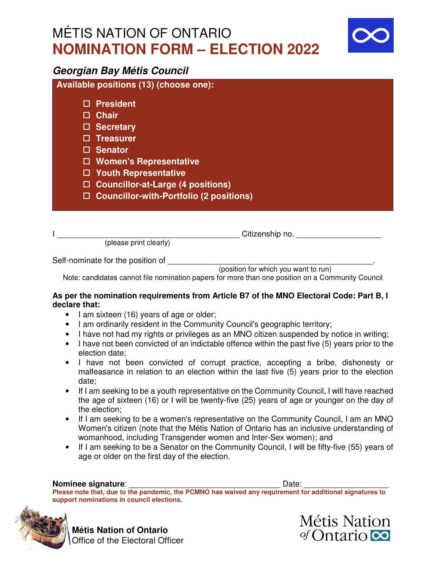# MÉTIS NATION OF ONTARIO **NOMINATION FORM – ELECTION 2022**



### **Georgian Bay Métis Council**

**Available positions (13) (choose one):**

- **President**
- **Chair**
- **Secretary**
- **Treasurer**
- **Senator**
- **Women's Representative**
- **Youth Representative**
- **Councillor-at-Large (4 positions)**
- **Councillor-with-Portfolio (2 positions)**

(please print clearly)

I \_\_\_\_\_\_\_\_\_\_\_\_\_\_\_\_\_\_\_\_\_\_\_\_\_\_\_\_\_\_\_\_\_\_\_\_\_\_\_\_\_ Citizenship no. \_\_\_\_\_\_\_\_\_\_\_\_\_\_\_\_\_\_\_

Self-nominate for the position of

(position for which you want to run)

Note: candidates cannot file nomination papers for more than one position on a Community Council

#### **As per the nomination requirements from Article B7 of the MNO Electoral Code: Part B, I declare that:**

- I am sixteen (16) years of age or older;
- I am ordinarily resident in the Community Council's geographic territory;
- I have not had my rights or privileges as an MNO citizen suspended by notice in writing;
- I have not been convicted of an indictable offence within the past five (5) years prior to the election date;
- I have not been convicted of corrupt practice, accepting a bribe, dishonesty or malfeasance in relation to an election within the last five (5) years prior to the election date;
- If I am seeking to be a youth representative on the Community Council, I will have reached the age of sixteen (16) or I will be twenty-five (25) years of age or younger on the day of the election;
- If I am seeking to be a women's representative on the Community Council, I am an MNO Women's citizen (note that the Métis Nation of Ontario has an inclusive understanding of womanhood, including Transgender women and Inter-Sex women); and
- If I am seeking to be a Senator on the Community Council, I will be fifty-five (55) years of age or older on the first day of the election.

#### **Nominee signature**: \_\_\_\_\_\_\_\_\_\_\_\_\_\_\_\_\_\_\_\_\_\_\_\_\_\_\_\_\_\_\_\_\_\_ Date: \_\_\_\_\_\_\_\_\_\_\_\_\_\_\_\_\_\_\_

**Please note that, due to the pandemic, the PCMNO has waived any requirement for additional signatures to support nominations in council elections.** 



**Métis Nation of Ontario Office of the Electoral Officer**